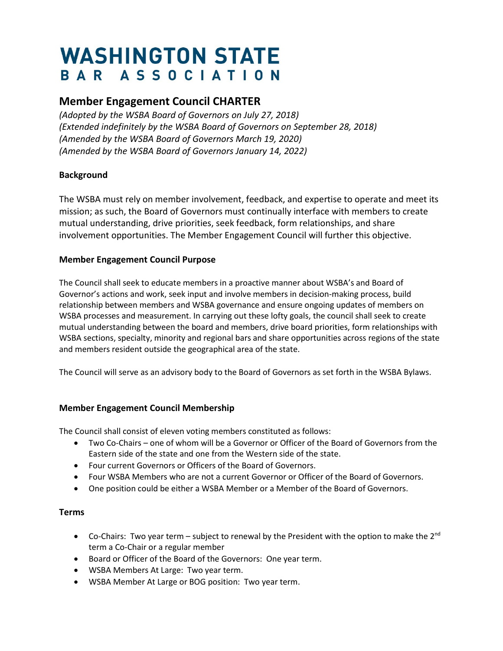# **WASHINGTON STATE** BAR ASSOCIATION

# **Member Engagement Council CHARTER**

*(Adopted by the WSBA Board of Governors on July 27, 2018) (Extended indefinitely by the WSBA Board of Governors on September 28, 2018) (Amended by the WSBA Board of Governors March 19, 2020) (Amended by the WSBA Board of Governors January 14, 2022)*

## **Background**

The WSBA must rely on member involvement, feedback, and expertise to operate and meet its mission; as such, the Board of Governors must continually interface with members to create mutual understanding, drive priorities, seek feedback, form relationships, and share involvement opportunities. The Member Engagement Council will further this objective.

## **Member Engagement Council Purpose**

The Council shall seek to educate members in a proactive manner about WSBA's and Board of Governor's actions and work, seek input and involve members in decision-making process, build relationship between members and WSBA governance and ensure ongoing updates of members on WSBA processes and measurement. In carrying out these lofty goals, the council shall seek to create mutual understanding between the board and members, drive board priorities, form relationships with WSBA sections, specialty, minority and regional bars and share opportunities across regions of the state and members resident outside the geographical area of the state.

The Council will serve as an advisory body to the Board of Governors as set forth in the WSBA Bylaws.

#### **Member Engagement Council Membership**

The Council shall consist of eleven voting members constituted as follows:

- Two Co-Chairs one of whom will be a Governor or Officer of the Board of Governors from the Eastern side of the state and one from the Western side of the state.
- Four current Governors or Officers of the Board of Governors.
- Four WSBA Members who are not a current Governor or Officer of the Board of Governors.
- One position could be either a WSBA Member or a Member of the Board of Governors.

#### **Terms**

- Co-Chairs: Two year term subject to renewal by the President with the option to make the  $2^{nd}$ term a Co-Chair or a regular member
- Board or Officer of the Board of the Governors: One year term.
- WSBA Members At Large: Two year term.
- WSBA Member At Large or BOG position: Two year term.